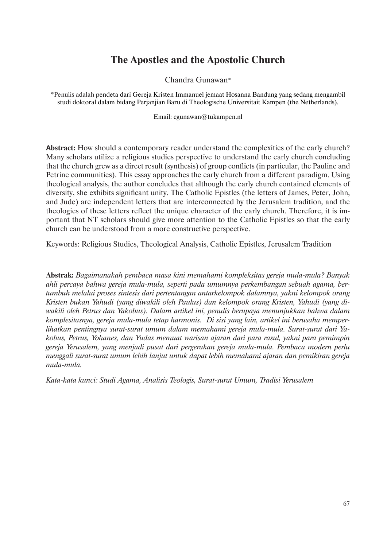# **The Apostles and the Apostolic Church**

Chandra Gunawan\*

\*Penulis adalah pendeta dari Gereja Kristen Immanuel jemaat Hosanna Bandung yang sedang mengambil studi doktoral dalam bidang Perjanjian Baru di Theologische Universitait Kampen (the Netherlands).

Email: cgunawan@tukampen.nl

**Abstract:** How should a contemporary reader understand the complexities of the early church? Many scholars utilize a religious studies perspective to understand the early church concluding that the church grew as a direct result (synthesis) of group conflicts (in particular, the Pauline and Petrine communities). This essay approaches the early church from a different paradigm. Using theological analysis, the author concludes that although the early church contained elements of diversity, she exhibits significant unity. The Catholic Epistles (the letters of James, Peter, John, and Jude) are independent letters that are interconnected by the Jerusalem tradition, and the theologies of these letters reflect the unique character of the early church. Therefore, it is important that NT scholars should give more attention to the Catholic Epistles so that the early church can be understood from a more constructive perspective.

Keywords: Religious Studies, Theological Analysis, Catholic Epistles, Jerusalem Tradition

**Abstrak:** *Bagaimanakah pembaca masa kini memahami kompleksitas gereja mula-mula? Banyak ahli percaya bahwa gereja mula-mula, seperti pada umumnya perkembangan sebuah agama, bertumbuh melalui proses sintesis dari pertentangan antarkelompok dalamnya, yakni kelompok orang Kristen bukan Yahudi (yang diwakili oleh Paulus) dan kelompok orang Kristen, Yahudi (yang diwakili oleh Petrus dan Yakobus). Dalam artikel ini, penulis berupaya menunjukkan bahwa dalam komplesitasnya, gereja mula-mula tetap harmonis. Di sisi yang lain, artikel ini berusaha memperlihatkan pentingnya surat-surat umum dalam memahami gereja mula-mula. Surat-surat dari Yakobus, Petrus, Yohanes, dan Yudas memuat warisan ajaran dari para rasul, yakni para pemimpin gereja Yerusalem, yang menjadi pusat dari pergerakan gereja mula-mula. Pembaca modern perlu menggali surat-surat umum lebih lanjut untuk dapat lebih memahami ajaran dan pemikiran gereja mula-mula.*

*Kata-kata kunci: Studi Agama, Analisis Teologis, Surat-surat Umum, Tradisi Yerusalem*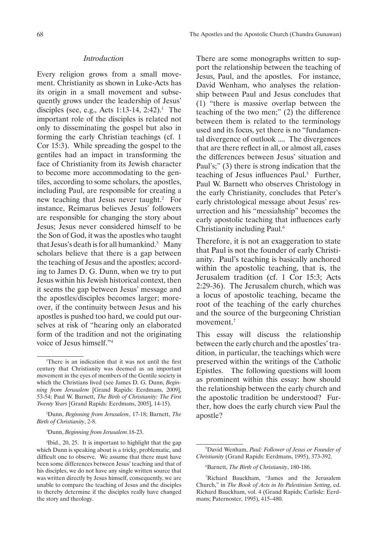## *Introduction*

Every religion grows from a small movement. Christianity as shown in Luke-Acts has its origin in a small movement and subsequently grows under the leadership of Jesus' disciples (see, e.g., Acts 1:13-14, 2:42).<sup>1</sup> The important role of the disciples is related not only to disseminating the gospel but also in forming the early Christian teachings (cf. 1 Cor 15:3). While spreading the gospel to the gentiles had an impact in transforming the face of Christianity from its Jewish character to become more accommodating to the gentiles, according to some scholars, the apostles, including Paul, are responsible for creating a new teaching that Jesus never taught.<sup>2</sup> For instance, Reimarus believes Jesus' followers are responsible for changing the story about Jesus; Jesus never considered himself to be the Son of God, it was the apostles who taught that Jesus's death is for all humankind. $3$  Many scholars believe that there is a gap between the teaching of Jesus and the apostles; according to James D. G. Dunn, when we try to put Jesus within his Jewish historical context, then it seems the gap between Jesus' message and the apostles/disciples becomes larger; moreover, if the continuity between Jesus and his apostles is pushed too hard, we could put ourselves at risk of "hearing only an elaborated form of the tradition and not the originating voice of Jesus himself."4

3 Dunn, *Beginning from Jerusalem*.18-23.

There are some monographs written to support the relationship between the teaching of Jesus, Paul, and the apostles. For instance, David Wenham, who analyses the relationship between Paul and Jesus concludes that (1) "there is massive overlap between the teaching of the two men;" (2) the difference between them is related to the terminology used and its focus, yet there is no "fundamental divergence of outlook .... The divergences that are there reflect in all, or almost all, cases the differences between Jesus' situation and Paul's;" (3) there is strong indication that the teaching of Jesus influences Paul.<sup>5</sup> Further, Paul W. Barnett who observes Christology in the early Christianity, concludes that Peter's early christological message about Jesus' resurrection and his "messiahship" becomes the early apostolic teaching that influences early Christianity including Paul.6

Therefore, it is not an exaggeration to state that Paul is not the founder of early Christianity. Paul's teaching is basically anchored within the apostolic teaching, that is, the Jerusalem tradition (cf. 1 Cor 15:3; Acts 2:29-36). The Jerusalem church, which was a locus of apostolic teaching, became the root of the teaching of the early churches and the source of the burgeoning Christian movement.<sup>7</sup>

This essay will discuss the relationship between the early church and the apostles' tradition, in particular, the teachings which were preserved within the writings of the Catholic Epistles. The following questions will loom as prominent within this essay: how should the relationship between the early church and the apostolic tradition be understood? Further, how does the early church view Paul the apostle?

<sup>1</sup> There is an indication that it was not until the first century that Christianity was deemed as an important movement in the eyes of members of the Gentile society in which the Christians lived (see James D. G. Dunn, *Beginning from Jerusalem* [Grand Rapids: Eerdmans, 2009], 53-54; Paul W. Barnett, *The Birth of Christianity: The First Twenty Years* [Grand Rapids: Eerdmans, 2005], 14-15).

<sup>2</sup> Dunn, *Beginning from Jerusalem*, 17-18; Barnett, *The Birth of Christianity*, 2-8.

<sup>4</sup> Ibid., 20, 25. It is important to highlight that the gap which Dunn is speaking about is a tricky, problematic, and difficult one to observe. We assume that there must have been some differences between Jesus' teaching and that of his disciples, we do not have any single written source that was written directly by Jesus himself, consequently, we are unable to compare the teaching of Jesus and the disciples to thereby determine if the disciples really have changed the story and theology.

<sup>5</sup> David Wenham, *Paul: Follower of Jesus or Founder of Christianity* (Grand Rapids: Eerdmans, 1995), 373-392.

<sup>6</sup> Barnett, *The Birth of Christianity*, 180-186.

<sup>7</sup> Richard Bauckham, "James and the Jerusalem Church," in *The Book of Acts in Its Palestinian Setting*, ed. Richard Bauckham, vol. 4 (Grand Rapids; Carlisle: Eerdmans; Paternoster, 1995), 415–480.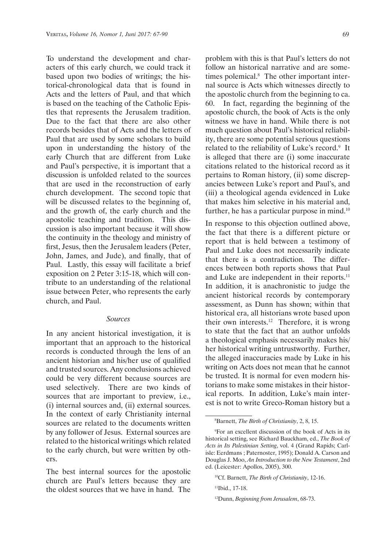To understand the development and characters of this early church, we could track it based upon two bodies of writings; the historical-chronological data that is found in Acts and the letters of Paul, and that which is based on the teaching of the Catholic Epistles that represents the Jerusalem tradition. Due to the fact that there are also other records besides that of Acts and the letters of Paul that are used by some scholars to build upon in understanding the history of the early Church that are different from Luke and Paul's perspective, it is important that a discussion is unfolded related to the sources that are used in the reconstruction of early church development. The second topic that will be discussed relates to the beginning of, and the growth of, the early church and the apostolic teaching and tradition. This discussion is also important because it will show the continuity in the theology and ministry of first, Jesus, then the Jerusalem leaders (Peter, John, James, and Jude), and finally, that of Paul. Lastly, this essay will facilitate a brief exposition on 2 Peter 3:15-18, which will contribute to an understanding of the relational issue between Peter, who represents the early church, and Paul.

#### *Sources*

In any ancient historical investigation, it is important that an approach to the historical records is conducted through the lens of an ancient historian and his/her use of qualified and trusted sources. Any conclusions achieved could be very different because sources are used selectively. There are two kinds of sources that are important to preview, i.e., (i) internal sources and, (ii) external sources. In the context of early Christianity internal sources are related to the documents written by any follower of Jesus. External sources are related to the historical writings which related to the early church, but were written by others.

The best internal sources for the apostolic church are Paul's letters because they are the oldest sources that we have in hand. The problem with this is that Paul's letters do not follow an historical narrative and are sometimes polemical.<sup>8</sup> The other important internal source is Acts which witnesses directly to the apostolic church from the beginning to ca. 60. In fact, regarding the beginning of the apostolic church, the book of Acts is the only witness we have in hand. While there is not much question about Paul's historical reliability, there are some potential serious questions related to the reliability of Luke's record.<sup>9</sup> It is alleged that there are (i) some inaccurate citations related to the historical record as it pertains to Roman history, (ii) some discrepancies between Luke's report and Paul's, and (iii) a theological agenda evidenced in Luke that makes him selective in his material and, further, he has a particular purpose in mind.<sup>10</sup>

In response to this objection outlined above, the fact that there is a different picture or report that is held between a testimony of Paul and Luke does not necessarily indicate that there is a contradiction. The differences between both reports shows that Paul and Luke are independent in their reports.<sup>11</sup> In addition, it is anachronistic to judge the ancient historical records by contemporary assessment, as Dunn has shown; within that historical era, all historians wrote based upon their own interests.<sup>12</sup> Therefore, it is wrong to state that the fact that an author unfolds a theological emphasis necessarily makes his/ her historical writing untrustworthy. Further, the alleged inaccuracies made by Luke in his writing on Acts does not mean that he cannot be trusted. It is normal for even modern historians to make some mistakes in their historical reports. In addition, Luke's main interest is not to write Greco-Roman history but a

<sup>8</sup> Barnett, *The Birth of Christianity*, 2, 8, 15.

<sup>9</sup> For an excellent discussion of the book of Acts in its historical setting, see Richard Bauckham, ed., *The Book of Acts in Its Palestinian Setting*, vol. 4 (Grand Rapids; Carlisle: Eerdmans ; Paternoster, 1995); Donald A. Carson and Douglas J. Moo, *An Introduction to the New Testament*, 2nd ed. (Leicester: Apollos, 2005), 300.

<sup>10</sup>Cf. Barnett, *The Birth of Christianity*, 12-16.

<sup>11</sup>Ibid., 17-18.

<sup>12</sup>Dunn, *Beginning from Jerusalem*, 68-73.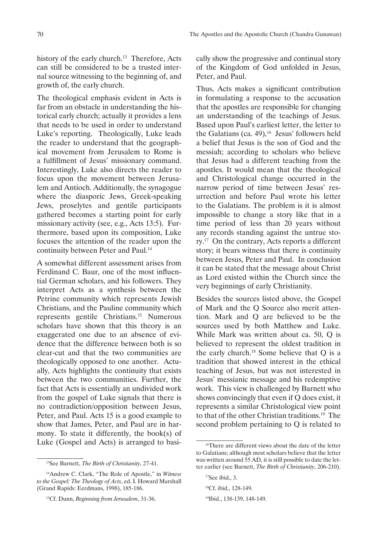history of the early church.<sup>13</sup> Therefore, Acts can still be considered to be a trusted internal source witnessing to the beginning of, and growth of, the early church.

The theological emphasis evident in Acts is far from an obstacle in understanding the historical early church; actually it provides a lens that needs to be used in order to understand Luke's reporting. Theologically, Luke leads the reader to understand that the geographical movement from Jerusalem to Rome is a fulfillment of Jesus' missionary command. Interestingly, Luke also directs the reader to focus upon the movement between Jerusalem and Antioch. Additionally, the synagogue where the diasporic Jews, Greek-speaking Jews, proselytes and gentile participants gathered becomes a starting point for early missionary activity (see, e.g., Acts 13:5). Furthermore, based upon its composition, Luke focuses the attention of the reader upon the continuity between Peter and Paul.<sup>14</sup>

A somewhat different assessment arises from Ferdinand C. Baur, one of the most influential German scholars, and his followers. They interpret Acts as a synthesis between the Petrine community which represents Jewish Christians, and the Pauline community which represents gentile Christians.<sup>15</sup> Numerous scholars have shown that this theory is an exaggerated one due to an absence of evidence that the difference between both is so clear-cut and that the two communities are theologically opposed to one another. Actually, Acts highlights the continuity that exists between the two communities. Further, the fact that Acts is essentially an undivided work from the gospel of Luke signals that there is no contradiction/opposition between Jesus, Peter, and Paul. Acts 15 is a good example to show that James, Peter, and Paul are in harmony. To state it differently, the book(s) of Luke (Gospel and Acts) is arranged to basi-

<sup>13</sup>See Barnett, *The Birth of Christianity*, 27-41.

14Andrew C. Clark, "The Role of Apostle," in *Witness to the Gospel: The Theology of Acts*, ed. I. Howard Marshall (Grand Rapids: Eerdmans, 1998), 185-186.

cally show the progressive and continual story of the Kingdom of God unfolded in Jesus, Peter, and Paul.

Thus, Acts makes a significant contribution in formulating a response to the accusation that the apostles are responsible for changing an understanding of the teachings of Jesus. Based upon Paul's earliest letter, the letter to the Galatians (ca. 49), $^{16}$  Jesus' followers held a belief that Jesus is the son of God and the messiah; according to scholars who believe that Jesus had a different teaching from the apostles. It would mean that the theological and Christological change occurred in the narrow period of time between Jesus' resurrection and before Paul wrote his letter to the Galatians. The problem is it is almost impossible to change a story like that in a time period of less than 20 years without any records standing against the untrue story.17 On the contrary, Acts reports a different story; it bears witness that there is continuity between Jesus, Peter and Paul. In conclusion it can be stated that the message about Christ as Lord existed within the Church since the very beginnings of early Christianity.

Besides the sources listed above, the Gospel of Mark and the Q Source also merit attention. Mark and Q are believed to be the sources used by both Matthew and Luke. While Mark was written about ca. 50, Q is believed to represent the oldest tradition in the early church.<sup>18</sup> Some believe that  $Q$  is a tradition that showed interest in the ethical teaching of Jesus, but was not interested in Jesus' messianic message and his redemptive work. This view is challenged by Barnett who shows convincingly that even if Q does exist, it represents a similar Christological view point to that of the other Christian traditions.<sup>19</sup> The second problem pertaining to Q is related to

<sup>15</sup>Cf. Dunn, *Beginning from Jerusalem*, 31-36.

<sup>&</sup>lt;sup>16</sup>There are different views about the date of the letter to Galatians; although most scholars believe that the letter was written around 55 AD, it is still possible to date the letter earlier (see Barnett, *The Birth of Christianity*, 206-210).

<sup>&</sup>lt;sup>17</sup>See ibid., 3.

<sup>18</sup>Cf. ibid., 128-149.

<sup>19</sup>Ibid., 138-139, 148-149.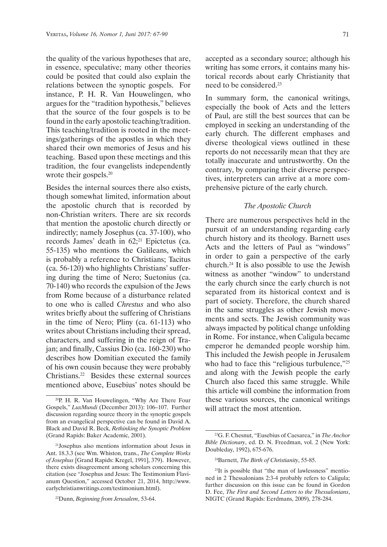the quality of the various hypotheses that are, in essence, speculative; many other theories could be posited that could also explain the relations between the synoptic gospels. For instance, P. H. R. Van Houwelingen, who argues for the "tradition hypothesis," believes that the source of the four gospels is to be found in the early apostolic teaching/tradition. This teaching/tradition is rooted in the meetings/gatherings of the apostles in which they shared their own memories of Jesus and his teaching. Based upon these meetings and this tradition, the four evangelists independently wrote their gospels.<sup>20</sup>

Besides the internal sources there also exists, though somewhat limited, information about the apostolic church that is recorded by non-Christian writers. There are six records that mention the apostolic church directly or indirectly; namely Josephus (ca. 37-100), who records James' death in  $62$ ;<sup>21</sup> Epictetus (ca. 55-135) who mentions the Galileans, which is probably a reference to Christians; Tacitus (ca. 56-120) who highlights Christians' suffering during the time of Nero; Suetonius (ca. 70-140) who records the expulsion of the Jews from Rome because of a disturbance related to one who is called *Chrestus* and who also writes briefly about the suffering of Christians in the time of Nero; Pliny (ca. 61-113) who writes about Christians including their spread, characters, and suffering in the reign of Trajan; and finally, Cassius Dio (ca. 160-230) who describes how Domitian executed the family of his own cousin because they were probably Christians.<sup>22</sup> Besides these external sources mentioned above, Eusebius' notes should be

accepted as a secondary source; although his writing has some errors, it contains many historical records about early Christianity that need to be considered.<sup>23</sup>

In summary form, the canonical writings, especially the book of Acts and the letters of Paul, are still the best sources that can be employed in seeking an understanding of the early church. The different emphases and diverse theological views outlined in these reports do not necessarily mean that they are totally inaccurate and untrustworthy. On the contrary, by comparing their diverse perspectives, interpreters can arrive at a more comprehensive picture of the early church.

# *The Apostolic Church*

There are numerous perspectives held in the pursuit of an understanding regarding early church history and its theology. Barnett uses Acts and the letters of Paul as "windows" in order to gain a perspective of the early church.24 It is also possible to use the Jewish witness as another "window" to understand the early church since the early church is not separated from its historical context and is part of society. Therefore, the church shared in the same struggles as other Jewish movements and sects. The Jewish community was always impacted by political change unfolding in Rome. For instance, when Caligula became emperor he demanded people worship him. This included the Jewish people in Jerusalem who had to face this "religious turbulence,"25 and along with the Jewish people the early Church also faced this same struggle. While this article will combine the information from these various sources, the canonical writings will attract the most attention.

<sup>20</sup>P. H. R. Van Houwelingen, "Why Are There Four Gospels," *LuxMundi* (December 2013): 106–107. Further discussion regarding source theory in the synoptic gospels from an evangelical perspective can be found in David A. Black and David R. Beck, *Rethinking the Synoptic Problem* (Grand Rapids: Baker Academic, 2001).

<sup>21</sup>Josephus also mentions information about Jesus in Ant. 18.3.3 (see Wm. Whiston, trans., *The Complete Works of Josephus* [Grand Rapids: Kregel, 1991], 379). However, there exists disagreement among scholars concerning this citation (see "Josephus and Jesus: The Testimonium Flavianum Question," accessed October 21, 2014, http://www. earlychristianwritings.com/testimonium.html).

<sup>22</sup>Dunn, *Beginning from Jerusalem*, 53-64.

<sup>23</sup>G. F. Chesnut, "Eusebius of Caesarea," in *The Anchor Bible Dictionary*, ed. D. N. Freedman, vol. 2 (New York: Doubleday, 1992), 675-676.

<sup>24</sup>Barnett, *The Birth of Christianity*, 55-85.

<sup>25</sup>It is possible that "the man of lawlessness" mentioned in 2 Thessalonians 2:3-4 probably refers to Caligula; further discussion on this issue can be found in Gordon D. Fee, *The First and Second Letters to the Thessalonians*, NIGTC (Grand Rapids: Eerdmans, 2009), 278-284.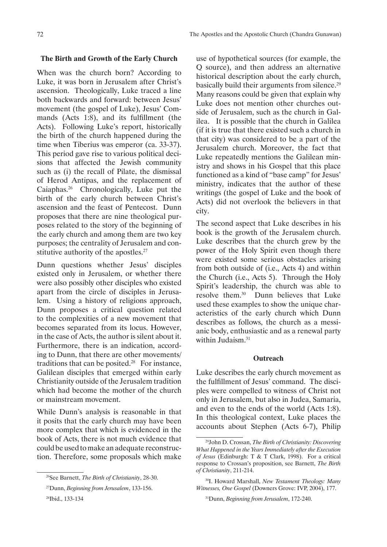# **The Birth and Growth of the Early Church**

When was the church born? According to Luke, it was born in Jerusalem after Christ's ascension. Theologically, Luke traced a line both backwards and forward: between Jesus' movement (the gospel of Luke), Jesus' Commands (Acts 1:8), and its fulfillment (the Acts). Following Luke's report, historically the birth of the church happened during the time when Tiberius was emperor (ca. 33-37). This period gave rise to various political decisions that affected the Jewish community such as (i) the recall of Pilate, the dismissal of Herod Antipas, and the replacement of Caiaphas.26 Chronologically, Luke put the birth of the early church between Christ's ascension and the feast of Pentecost. Dunn proposes that there are nine theological purposes related to the story of the beginning of the early church and among them are two key purposes; the centrality of Jerusalem and constitutive authority of the apostles.<sup>27</sup>

Dunn questions whether Jesus' disciples existed only in Jerusalem, or whether there were also possibly other disciples who existed apart from the circle of disciples in Jerusalem. Using a history of religions approach, Dunn proposes a critical question related to the complexities of a new movement that becomes separated from its locus. However, in the case of Acts, the author is silent about it. Furthermore, there is an indication, according to Dunn, that there are other movements/ traditions that can be posited.<sup>28</sup> For instance, Galilean disciples that emerged within early Christianity outside of the Jerusalem tradition which had become the mother of the church or mainstream movement.

While Dunn's analysis is reasonable in that it posits that the early church may have been more complex that which is evidenced in the book of Acts, there is not much evidence that could be used to make an adequate reconstruction. Therefore, some proposals which make

use of hypothetical sources (for example, the Q source), and then address an alternative historical description about the early church, basically build their arguments from silence.<sup>29</sup> Many reasons could be given that explain why Luke does not mention other churches outside of Jerusalem, such as the church in Galilea. It is possible that the church in Galilea (if it is true that there existed such a church in that city) was considered to be a part of the Jerusalem church. Moreover, the fact that Luke repeatedly mentions the Galilean ministry and shows in his Gospel that this place functioned as a kind of "base camp" for Jesus' ministry, indicates that the author of these writings (the gospel of Luke and the book of Acts) did not overlook the believers in that city.

The second aspect that Luke describes in his book is the growth of the Jerusalem church. Luke describes that the church grew by the power of the Holy Spirit even though there were existed some serious obstacles arising from both outside of (i.e., Acts 4) and within the Church (i.e., Acts 5). Through the Holy Spirit's leadership, the church was able to resolve them.30 Dunn believes that Luke used these examples to show the unique characteristics of the early church which Dunn describes as follows, the church as a messianic body, enthusiastic and as a renewal party within Judaism.<sup>31</sup>

# **Outreach**

Luke describes the early church movement as the fulfillment of Jesus' command. The disciples were compelled to witness of Christ not only in Jerusalem, but also in Judea, Samaria, and even to the ends of the world (Acts 1:8). In this theological context, Luke places the accounts about Stephen (Acts 6-7), Philip

<sup>26</sup>See Barnett, *The Birth of Christianity*, 28-30.

<sup>27</sup>Dunn, *Beginning from Jerusalem*, 133-156.

<sup>28</sup>Ibid., 133-134

<sup>29</sup>John D. Crossan, *The Birth of Christianity: Discovering What Happened in the Years Immediately after the Execution of Jesus* (Edinburgh: T & T Clark, 1998). For a critical response to Crossan's proposition, see Barnett, *The Birth of Christianity*, 211-214.

<sup>30</sup>I. Howard Marshall, *New Testament Theology: Many Witnesses, One Gospel* (Downers Grove: IVP, 2004), 177.

<sup>31</sup>Dunn, *Beginning from Jerusalem*, 172-240.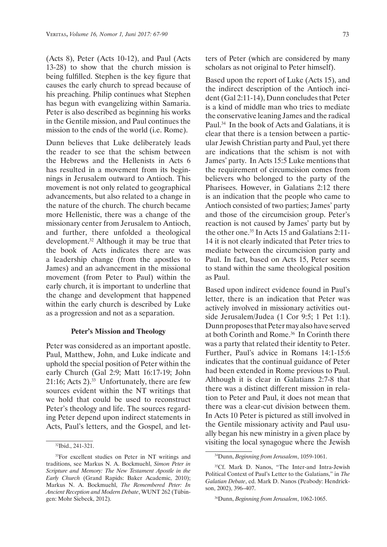(Acts 8), Peter (Acts 10-12), and Paul (Acts 13-28) to show that the church mission is being fulfilled. Stephen is the key figure that causes the early church to spread because of his preaching. Philip continues what Stephen has begun with evangelizing within Samaria. Peter is also described as beginning his works in the Gentile mission, and Paul continues the mission to the ends of the world (i.e. Rome).

Dunn believes that Luke deliberately leads the reader to see that the schism between the Hebrews and the Hellenists in Acts 6 has resulted in a movement from its beginnings in Jerusalem outward to Antioch. This movement is not only related to geographical advancements, but also related to a change in the nature of the church. The church became more Hellenistic, there was a change of the missionary center from Jerusalem to Antioch, and further, there unfolded a theological development.32 Although it may be true that the book of Acts indicates there are was a leadership change (from the apostles to James) and an advancement in the missional movement (from Peter to Paul) within the early church, it is important to underline that the change and development that happened within the early church is described by Luke as a progression and not as a separation.

#### **Peter's Mission and Theology**

Peter was considered as an important apostle. Paul, Matthew, John, and Luke indicate and uphold the special position of Peter within the early Church (Gal 2:9; Matt 16:17-19; John 21:16; Acts  $2)$ .<sup>33</sup> Unfortunately, there are few sources evident within the NT writings that we hold that could be used to reconstruct Peter's theology and life. The sources regarding Peter depend upon indirect statements in Acts, Paul's letters, and the Gospel, and letters of Peter (which are considered by many scholars as not original to Peter himself).

Based upon the report of Luke (Acts 15), and the indirect description of the Antioch incident (Gal 2:11-14), Dunn concludes that Peter is a kind of middle man who tries to mediate the conservative leaning James and the radical Paul.34 In the book of Acts and Galatians, it is clear that there is a tension between a particular Jewish Christian party and Paul, yet there are indications that the schism is not with James' party. In Acts 15:5 Luke mentions that the requirement of circumcision comes from believers who belonged to the party of the Pharisees. However, in Galatians 2:12 there is an indication that the people who came to Antioch consisted of two parties; James' party and those of the circumcision group. Peter's reaction is not caused by James' party but by the other one.35 In Acts 15 and Galatians 2:11- 14 it is not clearly indicated that Peter tries to mediate between the circumcision party and Paul. In fact, based on Acts 15, Peter seems to stand within the same theological position as Paul.

Based upon indirect evidence found in Paul's letter, there is an indication that Peter was actively involved in missionary activities outside Jerusalem/Judea (1 Cor 9:5; 1 Pet 1:1). Dunn proposes that Peter may also have served at both Corinth and Rome.<sup>36</sup> In Corinth there was a party that related their identity to Peter. Further, Paul's advice in Romans 14:1-15:6 indicates that the continual guidance of Peter had been extended in Rome previous to Paul. Although it is clear in Galatians 2:7-8 that there was a distinct different mission in relation to Peter and Paul, it does not mean that there was a clear-cut division between them. In Acts 10 Peter is pictured as still involved in the Gentile missionary activity and Paul usually began his new ministry in a given place by visiting the local synagogue where the Jewish

<sup>32</sup>Ibid., 241-321.

<sup>&</sup>lt;sup>33</sup>For excellent studies on Peter in NT writings and traditions, see Markus N. A. Bockmuehl, *Simon Peter in Scripture and Memory: The New Testament Apostle in the Early Church* (Grand Rapids: Baker Academic, 2010); Markus N. A. Bockmuehl, *The Remembered Peter: In Ancient Reception and Modern Debate*, WUNT 262 (Tübingen: Mohr Siebeck, 2012).

<sup>34</sup>Dunn, *Beginning from Jerusalem*, 1059-1061.

<sup>35</sup>Cf. Mark D. Nanos, "The Inter-and Intra-Jewish Political Context of Paul's Letter to the Galatians," in *The Galatian Debate*, ed. Mark D. Nanos (Peabody: Hendrickson, 2002), 396–407.

<sup>36</sup>Dunn, *Beginning from Jerusalem*, 1062-1065.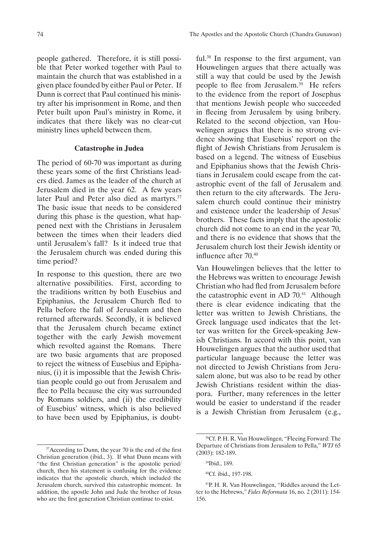people gathered. Therefore, it is still possible that Peter worked together with Paul to maintain the church that was established in a given place founded by either Paul or Peter. If Dunn is correct that Paul continued his ministry after his imprisonment in Rome, and then Peter built upon Paul's ministry in Rome, it indicates that there likely was no clear-cut ministry lines upheld between them.

#### **Catastrophe in Judea**

The period of 60-70 was important as during these years some of the first Christians leaders died. James as the leader of the church at Jerusalem died in the year 62. A few years later Paul and Peter also died as martyrs.<sup>37</sup> The basic issue that needs to be considered during this phase is the question, what happened next with the Christians in Jerusalem between the times when their leaders died until Jerusalem's fall? Is it indeed true that the Jerusalem church was ended during this time period?

In response to this question, there are two alternative possibilities. First, according to the traditions written by both Eusebius and Epiphanius, the Jerusalem Church fled to Pella before the fall of Jerusalem and then returned afterwards. Secondly, it is believed that the Jerusalem church became extinct together with the early Jewish movement which revolted against the Romans. There are two basic arguments that are proposed to reject the witness of Eusebius and Epiphanius, (i) it is impossible that the Jewish Christian people could go out from Jerusalem and flee to Pella because the city was surrounded by Romans soldiers, and (ii) the credibility of Eusebius' witness, which is also believed to have been used by Epiphanius, is doubtful.38 In response to the first argument, van Houwelingen argues that there actually was still a way that could be used by the Jewish people to flee from Jerusalem. $39$  He refers to the evidence from the report of Josephus that mentions Jewish people who succeeded in fleeing from Jerusalem by using bribery. Related to the second objection, van Houwelingen argues that there is no strong evidence showing that Eusebius' report on the flight of Jewish Christians from Jerusalem is based on a legend. The witness of Eusebius and Epiphanius shows that the Jewish Christians in Jerusalem could escape from the catastrophic event of the fall of Jerusalem and then return to the city afterwards. The Jerusalem church could continue their ministry and existence under the leadership of Jesus' brothers. These facts imply that the apostolic church did not come to an end in the year 70, and there is no evidence that shows that the Jerusalem church lost their Jewish identity or influence after 70.40

Van Houwelingen believes that the letter to the Hebrews was written to encourage Jewish Christian who had fled from Jerusalem before the catastrophic event in AD  $70<sup>41</sup>$  Although there is clear evidence indicating that the letter was written to Jewish Christians, the Greek language used indicates that the letter was written for the Greek-speaking Jewish Christians. In accord with this point, van Houwelingen argues that the author used that particular language because the letter was not directed to Jewish Christians from Jerusalem alone, but was also to be read by other Jewish Christians resident within the diaspora. Further, many references in the letter would be easier to understand if the reader is a Jewish Christian from Jerusalem (e.g.,

<sup>&</sup>lt;sup>37</sup>According to Dunn, the year 70 is the end of the first Christian generation (ibid., 3). If what Dunn means with "the first Christian generation" is the apostolic period/ church, then his statement is confusing for the evidence indicates that the apostolic church, which included the Jerusalem church, survived this catastrophic moment. In addition, the apostle John and Jude the brother of Jesus who are the first generation Christian continue to exist.

<sup>38</sup>Cf. P. H. R. Van Houwelingen, "Fleeing Forward: The Departure of Christians from Jerusalem to Pella," *WTJ* 65 (2003): 182-189.

<sup>39</sup>Ibid., 189.

<sup>40</sup>Cf. ibid., 197-198.

<sup>41</sup>P. H. R. Van Houwelingen, "Riddles around the Letter to the Hebrews," *Fides Reformata* 16, no. 2 (2011): 154- 156.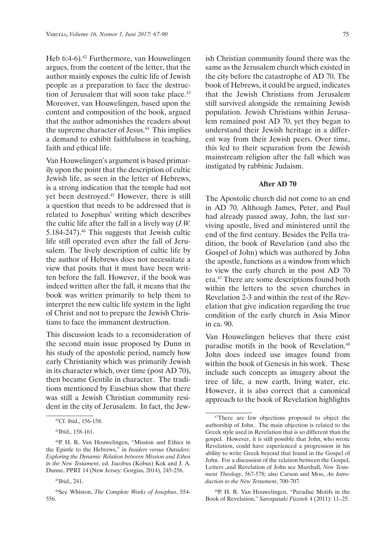Heb 6:4-6).<sup>42</sup> Furthermore, van Houwelingen argues, from the content of the letter, that the author mainly exposes the cultic life of Jewish people as a preparation to face the destruction of Jerusalem that will soon take place.<sup>43</sup> Moreover, van Houwelingen, based upon the content and composition of the book, argued that the author admonishes the readers about the supreme character of Jesus.44 This implies a demand to exhibit faithfulness in teaching, faith and ethical life.

Van Houwelingen's argument is based primarily upon the point that the description of cultic Jewish life, as seen in the letter of Hebrews, is a strong indication that the temple had not yet been destroyed.45 However, there is still a question that needs to be addressed that is related to Josephus' writing which describes the cultic life after the fall in a lively way (*J.W.*  5.184-247).<sup>46</sup> This suggests that Jewish cultic life still operated even after the fall of Jerusalem. The lively description of cultic life by the author of Hebrews does not necessitate a view that posits that it must have been written before the fall. However, if the book was indeed written after the fall, it means that the book was written primarily to help them to interpret the new cultic life system in the light of Christ and not to prepare the Jewish Christians to face the immanent destruction.

This discussion leads to a reconsideration of the second main issue proposed by Dunn in his study of the apostolic period, namely how early Christianity which was primarily Jewish in its character which, over time (post AD 70), then became Gentile in character. The traditions mentioned by Eusebius show that there was still a Jewish Christian community resident in the city of Jerusalem. In fact, the Jewish Christian community found there was the same as the Jerusalem church which existed in the city before the catastrophe of AD 70. The book of Hebrews, it could be argued, indicates that the Jewish Christians from Jerusalem still survived alongside the remaining Jewish population. Jewish Christians within Jerusalem remained post AD 70, yet they began to understand their Jewish heritage in a different way from their Jewish peers. Over time, this led to their separation from the Jewish mainstream religion after the fall which was instigated by rabbinic Judaism.

# **After AD 70**

The Apostolic church did not come to an end in AD 70. Although James, Peter, and Paul had already passed away, John, the last surviving apostle, lived and ministered until the end of the first century. Besides the Pella tradition, the book of Revelation (and also the Gospel of John) which was authored by John the apostle, functions as a window from which to view the early church in the post AD 70 era.<sup>47</sup> There are some descriptions found both within the letters to the seven churches in Revelation 2-3 and within the rest of the Revelation that give indication regarding the true condition of the early church in Asia Minor in ca. 90.

Van Houwelingen believes that there exist paradise motifs in the book of Revelation.<sup>48</sup> John does indeed use images found from within the book of Genesis in his work. These include such concepts as imagery about the tree of life, a new earth, living water, etc. However, it is also correct that a canonical approach to the book of Revelation highlights

<sup>42</sup>Cf. ibid., 156-158.

<sup>43</sup>Ibid., 158-161.

<sup>44</sup>P. H. R. Van Houwelingen, "Mission and Ethics in the Epistle to the Hebrews," in *Insiders versus Outsiders: Exploring the Dynamic Relation between Mission and Ethos in the New Testament*, ed. Jacobus (Kobus) Kok and J. A. Dunne, PPRT 14 (New Jersey: Gorgias, 2014), 245-256.

<sup>45</sup>Ibid., 241.

<sup>46</sup>See Whiston, *The Complete Works of Josephus*, 554- 556.

<sup>47</sup>There are few objections proposed to object the authorship of John. The main objection is related to the Greek style used in Revelation that is so different than the gospel. However, it is still possible that John, who wrote Revelation, could have experienced a progression in his ability to write Greek beyond that found in the Gospel of John. For a discussion of the relation between the Gospel, Letters ,and Revelation of John see Marshall, *New Testament Theology*, 567-578; also Carson and Moo, *An Introduction to the New Testament*, 700-707.

<sup>48</sup>P. H. R. Van Houwelingen, "Paradise Motifs in the Book of Revelation," *Sarospataki Füzetek* 4 (2011): 11–25.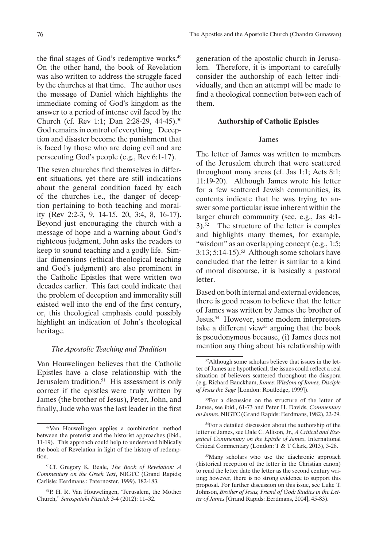the final stages of God's redemptive works.<sup>49</sup> On the other hand, the book of Revelation was also written to address the struggle faced by the churches at that time. The author uses the message of Daniel which highlights the immediate coming of God's kingdom as the answer to a period of intense evil faced by the Church (cf. Rev 1:1; Dan 2:28-29, 44-45).<sup>50</sup> God remains in control of everything. Deception and disaster become the punishment that is faced by those who are doing evil and are persecuting God's people (e.g., Rev 6:1-17).

The seven churches find themselves in different situations, yet there are still indications about the general condition faced by each of the churches i.e., the danger of deception pertaining to both teaching and morality (Rev 2:2-3, 9, 14-15, 20, 3:4, 8, 16-17). Beyond just encouraging the church with a message of hope and a warning about God's righteous judgment, John asks the readers to keep to sound teaching and a godly life. Similar dimensions (ethical-theological teaching and God's judgment) are also prominent in the Catholic Epistles that were written two decades earlier. This fact could indicate that the problem of deception and immorality still existed well into the end of the first century, or, this theological emphasis could possibly highlight an indication of John's theological heritage.

# *The Apostolic Teaching and Tradition*

Van Houwelingen believes that the Catholic Epistles have a close relationship with the Jerusalem tradition.<sup>51</sup> His assessment is only correct if the epistles were truly written by James (the brother of Jesus), Peter, John, and finally, Jude who was the last leader in the first generation of the apostolic church in Jerusalem. Therefore, it is important to carefully consider the authorship of each letter individually, and then an attempt will be made to find a theological connection between each of them.

## **Authorship of Catholic Epistles**

#### James

The letter of James was written to members of the Jerusalem church that were scattered throughout many areas (cf. Jas 1:1; Acts 8:1; 11:19-20). Although James wrote his letter for a few scattered Jewish communities, its contents indicate that he was trying to answer some particular issue inherent within the larger church community (see, e.g., Jas 4:1-  $3$ .<sup>52</sup> The structure of the letter is complex and highlights many themes, for example, "wisdom" as an overlapping concept (e.g., 1:5;  $3:13$ ;  $5:14-15$ ).<sup>53</sup> Although some scholars have concluded that the letter is similar to a kind of moral discourse, it is basically a pastoral letter.

Based on both internal and external evidences, there is good reason to believe that the letter of James was written by James the brother of Jesus.54 However, some modern interpreters take a different view<sup>55</sup> arguing that the book is pseudonymous because, (i) James does not mention any thing about his relationship with

<sup>49</sup>Van Houwelingen applies a combination method between the preterist and the historist approaches (ibid., 11-19). This approach could help to understand biblically the book of Revelation in light of the history of redemption.

<sup>50</sup>Cf. Gregory K. Beale, *The Book of Revelation: A Commentary on the Greek Text*, NIGTC (Grand Rapids; Carlisle: Eerdmans ; Paternoster, 1999), 182-183.

<sup>51</sup>P. H. R. Van Houwelingen, "Jerusalem, the Mother Church," *Sarospataki Füzetek* 3-4 (2012): 11–32.

<sup>52</sup>Although some scholars believe that issues in the letter of James are hypothetical, the issues could reflect a real situation of believers scattered throughout the diaspora (e.g. Richard Bauckham, *James: Wisdom of James, Disciple of Jesus the Sage* [London: Routledge, 1999]).

<sup>53</sup>For a discussion on the structure of the letter of James, see ibid., 61-73 and Peter H. Davids, *Commentary on James*, NIGTC (Grand Rapids: Eerdmans, 1982), 22-29.

<sup>54</sup>For a detailed discussion about the authorship of the letter of James, see Dale C. Allison, Jr., *A Critical and Exegetical Commentary on the Epistle of James*, International Critical Commentary (London: T & T Clark, 2013), 3-28.

<sup>55</sup>Many scholars who use the diachronic approach (historical reception of the letter in the Christian canon) to read the letter date the letter as the second century writing; however, there is no strong evidence to support this proposal. For further discussion on this issue, see Luke T. Johnson, *Brother of Jesus, Friend of God: Studies in the Letter of James* [Grand Rapids: Eerdmans, 2004], 45-83).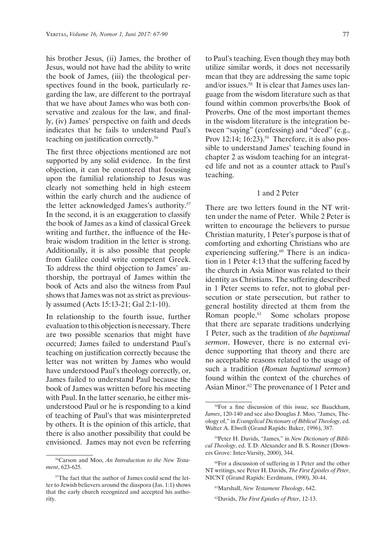his brother Jesus, (ii) James, the brother of Jesus, would not have had the ability to write the book of James, (iii) the theological perspectives found in the book, particularly regarding the law, are different to the portrayal that we have about James who was both conservative and zealous for the law, and finally, (iv) James' perspective on faith and deeds indicates that he fails to understand Paul's teaching on justification correctly.56

The first three objections mentioned are not supported by any solid evidence. In the first objection, it can be countered that focusing upon the familial relationship to Jesus was clearly not something held in high esteem within the early church and the audience of the letter acknowledged James's authority.57 In the second, it is an exaggeration to classify the book of James as a kind of classical Greek writing and further, the influence of the Hebraic wisdom tradition in the letter is strong. Additionally, it is also possible that people from Galilee could write competent Greek. To address the third objection to James' authorship, the portrayal of James within the book of Acts and also the witness from Paul shows that James was not as strict as previously assumed (Acts 15:13-21; Gal 2:1-10).

In relationship to the fourth issue, further evaluation to this objection is necessary. There are two possible scenarios that might have occurred; James failed to understand Paul's teaching on justification correctly because the letter was not written by James who would have understood Paul's theology correctly, or, James failed to understand Paul because the book of James was written before his meeting with Paul. In the latter scenario, he either misunderstood Paul or he is responding to a kind of teaching of Paul's that was misinterpreted by others. It is the opinion of this article, that there is also another possibility that could be envisioned. James may not even be referring to Paul's teaching. Even though they may both utilize similar words, it does not necessarily mean that they are addressing the same topic and/or issues.<sup>58</sup> It is clear that James uses language from the wisdom literature such as that found within common proverbs/the Book of Proverbs. One of the most important themes in the wisdom literature is the integration between "saying" (confessing) and "deed" (e.g., Prov 12:14; 16:23).<sup>59</sup> Therefore, it is also possible to understand James' teaching found in chapter 2 as wisdom teaching for an integrated life and not as a counter attack to Paul's teaching.

#### 1 and 2 Peter

There are two letters found in the NT written under the name of Peter. While 2 Peter is written to encourage the believers to pursue Christian maturity, 1 Peter's purpose is that of comforting and exhorting Christians who are experiencing suffering.<sup>60</sup> There is an indication in 1 Peter 4:13 that the suffering faced by the church in Asia Minor was related to their identity as Christians. The suffering described in 1 Peter seems to refer, not to global persecution or state persecution, but rather to general hostility directed at them from the Roman people.<sup>61</sup> Some scholars propose that there are separate traditions underlying 1 Peter, such as the tradition of *the baptismal sermon*. However, there is no external evidence supporting that theory and there are no acceptable reasons related to the usage of such a tradition (*Roman baptismal sermon*) found within the context of the churches of Asian Minor.<sup>62</sup> The provenance of 1 Peter and

<sup>56</sup>Carson and Moo, *An Introduction to the New Testament*, 623-625.

<sup>57</sup>The fact that the author of James could send the letter to Jewish believers around the diaspora (Jas. 1:1) shows that the early church recognized and accepted his authority.

<sup>58</sup>For a fine discussion of this issue, see Bauckham, *James*, 120-140 and see also Douglas J. Moo, "James, Theology of," in *Evangelical Dictionary of Biblical Theology*, ed. Walter A. Elwell (Grand Rapids: Baker, 1996), 387.

<sup>59</sup>Peter H. Davids, "James," in *New Dictionary of Biblical Theology*, ed. T. D. Alexander and B. S. Rosner (Downers Grove: Inter-Varsity, 2000), 344.

<sup>60</sup>For a discussion of suffering in 1 Peter and the other NT writings, see Peter H. Davids, *The First Epistles of Peter*, NICNT (Grand Rapids: Eerdmans, 1990), 30-44.

<sup>61</sup>Marshall, *New Testament Theology*, 642.

<sup>62</sup>Davids, *The First Epistles of Peter*, 12-13.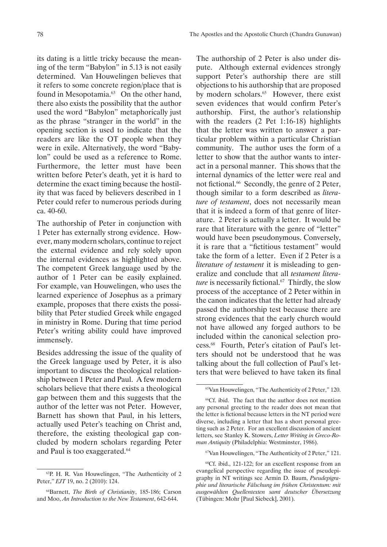its dating is a little tricky because the meaning of the term "Babylon" in 5.13 is not easily determined. Van Houwelingen believes that it refers to some concrete region/place that is found in Mesopotamia.<sup>63</sup> On the other hand, there also exists the possibility that the author used the word "Babylon" metaphorically just as the phrase "stranger in the world" in the opening section is used to indicate that the readers are like the OT people when they were in exile. Alternatively, the word "Babylon" could be used as a reference to Rome. Furthermore, the letter must have been written before Peter's death, yet it is hard to determine the exact timing because the hostility that was faced by believers described in 1 Peter could refer to numerous periods during ca. 40-60.

The authorship of Peter in conjunction with 1 Peter has externally strong evidence. However, many modern scholars, continue to reject the external evidence and rely solely upon the internal evidences as highlighted above. The competent Greek language used by the author of 1 Peter can be easily explained. For example, van Houwelingen, who uses the learned experience of Josephus as a primary example, proposes that there exists the possibility that Peter studied Greek while engaged in ministry in Rome. During that time period Peter's writing ability could have improved immensely.

Besides addressing the issue of the quality of the Greek language used by Peter, it is also important to discuss the theological relationship between 1 Peter and Paul. A few modern scholars believe that there exists a theological gap between them and this suggests that the author of the letter was not Peter. However, Barnett has shown that Paul, in his letters, actually used Peter's teaching on Christ and, therefore, the existing theological gap concluded by modern scholars regarding Peter and Paul is too exaggerated.<sup>64</sup>

The authorship of 2 Peter is also under dispute. Although external evidences strongly support Peter's authorship there are still objections to his authorship that are proposed by modern scholars.<sup>65</sup> However, there exist seven evidences that would confirm Peter's authorship. First, the author's relationship with the readers (2 Pet 1:16-18) highlights that the letter was written to answer a particular problem within a particular Christian community. The author uses the form of a letter to show that the author wants to interact in a personal manner. This shows that the internal dynamics of the letter were real and not fictional.<sup>66</sup> Secondly, the genre of 2 Peter, though similar to a form described as *literature of testament*, does not necessarily mean that it is indeed a form of that genre of literature. 2 Peter is actually a letter. It would be rare that literature with the genre of "letter" would have been pseudonymous. Conversely, it is rare that a "fictitious testament" would take the form of a letter. Even if 2 Peter is a *literature of testament* it is misleading to generalize and conclude that all *testament literature* is necessarily fictional.<sup>67</sup> Thirdly, the slow process of the acceptance of 2 Peter within in the canon indicates that the letter had already passed the authorship test because there are strong evidences that the early church would not have allowed any forged authors to be included within the canonical selection process.68 Fourth, Peter's citation of Paul's letters should not be understood that he was talking about the full collection of Paul's letters that were believed to have taken its final

<sup>67</sup>Van Houwelingen, "The Authenticity of 2 Peter," 121.

<sup>63</sup>P. H. R. Van Houwelingen, "The Authenticity of 2 Peter," *EJT* 19, no. 2 (2010): 124.

<sup>64</sup>Barnett, *The Birth of Christianity*, 185-186; Carson and Moo, *An Introduction to the New Testament*, 642-644.

<sup>65</sup>Van Houwelingen, "The Authenticity of 2 Peter," 120.

<sup>66</sup>Cf. ibid. The fact that the author does not mention any personal greeting to the reader does not mean that the letter is fictional because letters in the NT period were diverse, including a letter that has a short personal greeting such as 2 Peter. For an excellent discussion of ancient letters, see Stanley K. Stowers, *Letter Writing in Greco-Roman Antiquity* (Philadelphia: Westminster, 1986).

<sup>68</sup>Cf. ibid., 121-122; for an excellent response from an evangelical perspective regarding the issue of pseudepigraphy in NT writings see Armin D. Baum, *Pseudepigraphie und literarische Fälschung im frühen Christentum: mit ausgewählten Quellentexten samt deutscher Übersetzung* (Tübingen: Mohr [Paul Siebeck], 2001).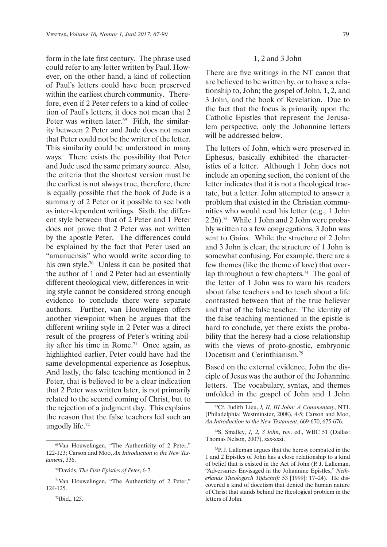form in the late first century. The phrase used could refer to any letter written by Paul. However, on the other hand, a kind of collection of Paul's letters could have been preserved within the earliest church community. Therefore, even if 2 Peter refers to a kind of collection of Paul's letters, it does not mean that 2 Peter was written later.<sup>69</sup> Fifth, the similarity between 2 Peter and Jude does not mean that Peter could not be the writer of the letter. This similarity could be understood in many ways. There exists the possibility that Peter and Jude used the same primary source. Also, the criteria that the shortest version must be the earliest is not always true, therefore, there is equally possible that the book of Jude is a summary of 2 Peter or it possible to see both as inter-dependent writings. Sixth, the different style between that of 2 Peter and 1 Peter does not prove that 2 Peter was not written by the apostle Peter. The differences could be explained by the fact that Peter used an "amanuensis" who would write according to his own style.<sup>70</sup> Unless it can be posited that the author of 1 and 2 Peter had an essentially different theological view, differences in writing style cannot be considered strong enough evidence to conclude there were separate authors. Further, van Houwelingen offers another viewpoint when he argues that the different writing style in 2 Peter was a direct result of the progress of Peter's writing ability after his time in Rome.<sup>71</sup> Once again, as highlighted earlier, Peter could have had the same developmental experience as Josephus. And lastly, the false teaching mentioned in 2 Peter, that is believed to be a clear indication that 2 Peter was written later, is not primarily related to the second coming of Christ, but to the rejection of a judgment day. This explains the reason that the false teachers led such an ungodly life.<sup>72</sup>

## 1, 2 and 3 John

There are five writings in the NT canon that are believed to be written by, or to have a relationship to, John; the gospel of John, 1, 2, and 3 John, and the book of Revelation. Due to the fact that the focus is primarily upon the Catholic Epistles that represent the Jerusalem perspective, only the Johannine letters will be addressed below.

The letters of John, which were preserved in Ephesus, basically exhibited the characteristics of a letter. Although 1 John does not include an opening section, the content of the letter indicates that it is not a theological tractate, but a letter. John attempted to answer a problem that existed in the Christian communities who would read his letter (e.g., 1 John 2.26).73 While 1 John and 2 John were probably written to a few congregations, 3 John was sent to Gaius. While the structure of 2 John and 3 John is clear, the structure of 1 John is somewhat confusing. For example, there are a few themes (like the theme of love) that overlap throughout a few chapters.<sup>74</sup> The goal of the letter of 1 John was to warn his readers about false teachers and to teach about a life contrasted between that of the true believer and that of the false teacher. The identity of the false teaching mentioned in the epistle is hard to conclude, yet there exists the probability that the heresy had a close relationship with the views of proto-gnostic, embryonic Docetism and Cerinthianism.75

Based on the external evidence, John the disciple of Jesus was the author of the Johannine letters. The vocabulary, syntax, and themes unfolded in the gospel of John and 1 John

<sup>69</sup>Van Houwelingen, "The Authenticity of 2 Peter," 122-123; Carson and Moo, *An Introduction to the New Testament*, 336.

<sup>70</sup>Davids, *The First Epistles of Peter*, 6-7.

<sup>71</sup>Van Houwelingen, "The Authenticity of 2 Peter," 124-125.

<sup>72</sup>Ibid., 125.

<sup>73</sup>Cf. Judith Lieu, *I, II, III John: A Commentary*, NTL (Philadelphia: Westminster, 2008), 4-5; Carson and Moo, *An Introduction to the New Testament*, 669-670, 675-676.

<sup>74</sup>S. Smalley, *1, 2, 3 John*, rev. ed., WBC 51 (Dallas: Thomas Nelson, 2007), xxx-xxxi.

<sup>75</sup>P. J. Lalleman argues that the heresy combated in the 1 and 2 Epistles of John has a close relationship to a kind of belief that is existed in the Act of John (P. J. Lalleman, "Adversaries Envisaged in the Johannine Epistles," *Netherlands Theologisch Tijdschrift* 53 [1999]: 17–24). He discovered a kind of docetism that denied the human nature of Christ that stands behind the theological problem in the letters of John.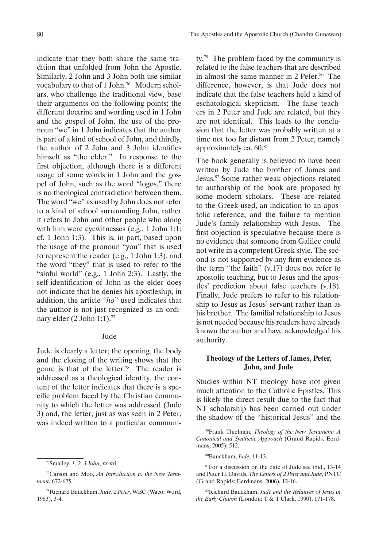indicate that they both share the same tradition that unfolded from John the Apostle. Similarly, 2 John and 3 John both use similar vocabulary to that of 1 John.<sup>76</sup> Modern scholars, who challenge the traditional view, base their arguments on the following points; the different doctrine and wording used in 1 John and the gospel of John, the use of the pronoun "we" in 1 John indicates that the author is part of a kind of school of John, and thirdly, the author of 2 John and 3 John identifies himself as "the elder." In response to the first objection, although there is a different usage of some words in 1 John and the gospel of John, such as the word "logos," there is no theological contradiction between them. The word "we" as used by John does not refer to a kind of school surrounding John, rather it refers to John and other people who along with him were eyewitnesses (e.g., 1 John 1:1; cf. 1 John 1:3). This is, in part, based upon the usage of the pronoun "you" that is used to represent the reader (e.g., 1 John 1:3), and the word "they" that is used to refer to the "sinful world" (e.g., 1 John 2:3). Lastly, the self-identification of John as the elder does not indicate that he denies his apostleship, in addition, the article "*ho*" used indicates that the author is not just recognized as an ordinary elder (2 John 1:1).<sup>77</sup>

# Jude

Jude is clearly a letter; the opening, the body and the closing of the writing shows that the genre is that of the letter.<sup>78</sup> The reader is addressed as a theological identity, the content of the letter indicates that there is a specific problem faced by the Christian community to which the letter was addressed (Jude 3) and, the letter, just as was seen in 2 Peter, was indeed written to a particular community.<sup>79</sup> The problem faced by the community is related to the false teachers that are described in almost the same manner in 2 Peter.<sup>80</sup> The difference, however, is that Jude does not indicate that the false teachers held a kind of eschatological skepticism. The false teachers in 2 Peter and Jude are related, but they are not identical. This leads to the conclusion that the letter was probably written at a time not too far distant from 2 Peter, namely approximately ca. 60.81

The book generally is believed to have been written by Jude the brother of James and Jesus.82 Some rather weak objections related to authorship of the book are proposed by some modern scholars. These are related to the Greek used, an indication to an apostolic reference, and the failure to mention Jude's family relationship with Jesus. The first objection is speculative because there is no evidence that someone from Galilee could not write in a competent Greek style. The second is not supported by any firm evidence as the term "the faith" (v.17) does not refer to apostolic teaching, but to Jesus and the apostles' prediction about false teachers (v.18). Finally, Jude prefers to refer to his relationship to Jesus as Jesus' servant rather than as his brother. The familial relationship to Jesus is not needed because his readers have already known the author and have acknowledged his authority.

# **Theology of the Letters of James, Peter, John, and Jude**

Studies within NT theology have not given much attention to the Catholic Epistles. This is likely the direct result due to the fact that NT scholarship has been carried out under the shadow of the "historical Jesus" and the

82Richard Bauckham, *Jude and the Relatives of Jesus in the Early Church* (London: T & T Clark, 1990), 171-178.

<sup>76</sup>Smalley, *1, 2, 3 John*, xx-xxi.

<sup>77</sup>Carson and Moo, *An Introduction to the New Testament*, 672-675.

<sup>78</sup>Richard Bauckham, *Jude, 2 Peter*, WBC (Waco: Word, 1983), 3-4.

<sup>79</sup>Frank Thielman, *Theology of the New Testament: A Canonical and Synthetic Approach* (Grand Rapids: Eerdmans, 2005), 512.

<sup>80</sup>Bauckham, *Jude*, 11-13.

<sup>81</sup>For a discussion on the date of Jude see ibid., 13-14 and Peter H. Davids, *The Letters of 2 Peter and Jude*, PNTC (Grand Rapids: Eerdmans, 2006), 12-16.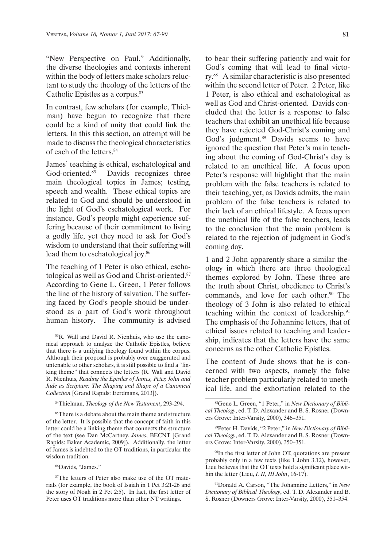"New Perspective on Paul." Additionally, the diverse theologies and contexts inherent within the body of letters make scholars reluctant to study the theology of the letters of the Catholic Epistles as a corpus.<sup>83</sup>

In contrast, few scholars (for example, Thielman) have begun to recognize that there could be a kind of unity that could link the letters. In this this section, an attempt will be made to discuss the theological characteristics of each of the letters.<sup>84</sup>

James' teaching is ethical, eschatological and God-oriented.<sup>85</sup> Davids recognizes three main theological topics in James; testing, speech and wealth. These ethical topics are related to God and should be understood in the light of God's eschatological work. For instance, God's people might experience suffering because of their commitment to living a godly life, yet they need to ask for God's wisdom to understand that their suffering will lead them to eschatological joy.<sup>86</sup>

The teaching of 1 Peter is also ethical, eschatological as well as God and Christ-oriented.87 According to Gene L. Green, 1 Peter follows the line of the history of salvation. The suffering faced by God's people should be understood as a part of God's work throughout human history. The community is advised

<sup>85</sup>There is a debate about the main theme and structure of the letter. It is possible that the concept of faith in this letter could be a linking theme that connects the structure of the text (see Dan McCartney, *James*, BECNT [Grand Rapids: Baker Academic, 2009]). Additionally, the letter of James is indebted to the OT traditions, in particular the wisdom tradition.

<sup>86</sup>Davids, "James."

to bear their suffering patiently and wait for God's coming that will lead to final victory.88 A similar characteristic is also presented within the second letter of Peter. 2 Peter, like 1 Peter, is also ethical and eschatological as well as God and Christ-oriented. Davids concluded that the letter is a response to false teachers that exhibit an unethical life because they have rejected God-Christ's coming and God's judgment.<sup>89</sup> Davids seems to have ignored the question that Peter's main teaching about the coming of God-Christ's day is related to an unethical life. A focus upon Peter's response will highlight that the main problem with the false teachers is related to their teaching, yet, as Davids admits, the main problem of the false teachers is related to their lack of an ethical lifestyle. A focus upon the unethical life of the false teachers, leads to the conclusion that the main problem is related to the rejection of judgment in God's coming day.

1 and 2 John apparently share a similar theology in which there are three theological themes explored by John. These three are the truth about Christ, obedience to Christ's commands, and love for each other.<sup>90</sup> The theology of 3 John is also related to ethical teaching within the context of leadership.<sup>91</sup> The emphasis of the Johannine letters, that of ethical issues related to teaching and leadership, indicates that the letters have the same concerns as the other Catholic Epistles.

The content of Jude shows that he is concerned with two aspects, namely the false teacher problem particularly related to unethical life, and the exhortation related to the

90In the first letter of John OT, quotations are present probably only in a few texts (like 1 John 3.12), however, Lieu believes that the OT texts hold a significant place within the letter (Lieu, *I, II, III John*, 16-17).

91Donald A. Carson, "The Johannine Letters," in *New Dictionary of Biblical Theology*, ed. T. D. Alexander and B. S. Rosner (Downers Grove: Inter-Varsity, 2000), 351–354.

<sup>83</sup>R. Wall and David R. Nienhuis, who use the canonical approach to analyze the Catholic Epistles, believe that there is a unifying theology found within the corpus. Although their proposal is probably over exaggerated and untenable to other scholars, it is still possible to find a "linking theme" that connects the letters (R. Wall and David R. Nienhuis, *Reading the Epistles of James, Peter, John and Jude as Scripture: The Shaping and Shape of a Canonical Collection* [Grand Rapids: Eerdmans, 2013]).

<sup>84</sup>Thielman, *Theology of the New Testament*, 293-294.

<sup>87</sup>The letters of Peter also make use of the OT materials (for example, the book of Isaiah in 1 Pet 3:21-26 and the story of Noah in 2 Pet 2:5). In fact, the first letter of Peter uses OT traditions more than other NT writings.

<sup>88</sup>Gene L. Green, "1 Peter," in *New Dictionary of Biblical Theology*, ed. T. D. Alexander and B. S. Rosner (Downers Grove: Inter-Varsity, 2000), 346–351.

<sup>89</sup>Peter H. Davids, "2 Peter," in *New Dictionary of Biblical Theology*, ed. T. D. Alexander and B. S. Rosner (Downers Grove: Inter-Varsity, 2000), 350–351.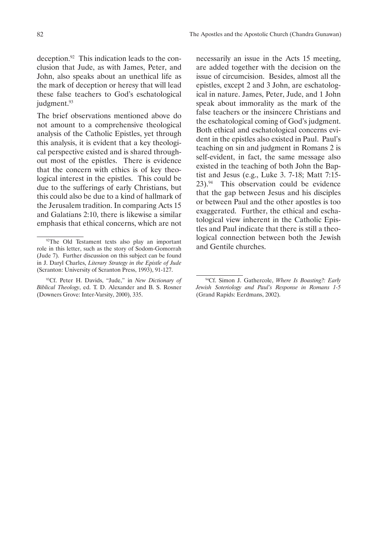deception.92 This indication leads to the conclusion that Jude, as with James, Peter, and John, also speaks about an unethical life as the mark of deception or heresy that will lead these false teachers to God's eschatological judgment.<sup>93</sup>

The brief observations mentioned above do not amount to a comprehensive theological analysis of the Catholic Epistles, yet through this analysis, it is evident that a key theological perspective existed and is shared throughout most of the epistles. There is evidence that the concern with ethics is of key theological interest in the epistles. This could be due to the sufferings of early Christians, but this could also be due to a kind of hallmark of the Jerusalem tradition. In comparing Acts 15 and Galatians 2:10, there is likewise a similar emphasis that ethical concerns, which are not necessarily an issue in the Acts 15 meeting, are added together with the decision on the issue of circumcision. Besides, almost all the epistles, except 2 and 3 John, are eschatological in nature. James, Peter, Jude, and 1 John speak about immorality as the mark of the false teachers or the insincere Christians and the eschatological coming of God's judgment. Both ethical and eschatological concerns evident in the epistles also existed in Paul. Paul's teaching on sin and judgment in Romans 2 is self-evident, in fact, the same message also existed in the teaching of both John the Baptist and Jesus (e.g., Luke 3. 7-18; Matt 7:15-  $23$ ).<sup>94</sup> This observation could be evidence that the gap between Jesus and his disciples or between Paul and the other apostles is too exaggerated. Further, the ethical and eschatological view inherent in the Catholic Epistles and Paul indicate that there is still a theological connection between both the Jewish and Gentile churches.

<sup>&</sup>lt;sup>92</sup>The Old Testament texts also play an important role in this letter, such as the story of Sodom-Gomorrah (Jude 7). Further discussion on this subject can be found in J. Daryl Charles, *Literary Strategy in the Epistle of Jude* (Scranton: University of Scranton Press, 1993), 91-127.

<sup>93</sup>Cf. Peter H. Davids, "Jude," in *New Dictionary of Biblical Theology*, ed. T. D. Alexander and B. S. Rosner (Downers Grove: Inter-Varsity, 2000), 335.

<sup>94</sup>Cf. Simon J. Gathercole, *Where Is Boasting?: Early Jewish Soteriology and Paul's Response in Romans 1-5* (Grand Rapids: Eerdmans, 2002).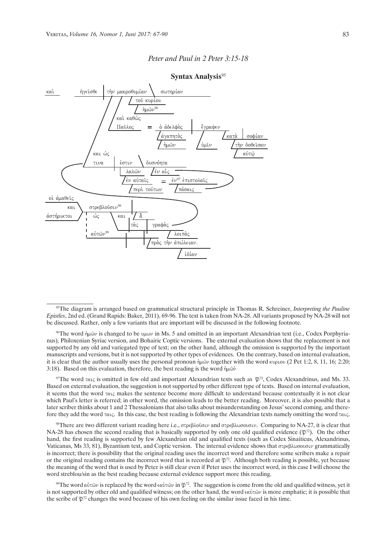## *Peter and Paul in 2 Peter 3:15-18*



#### **Syntax Analysis**<sup>95</sup>

97The word  $\tau \alpha_1 \zeta$  is omitted in few old and important Alexandrian texts such as  $\mathfrak{P}^2$ , Codex Alexandrinus, and Ms. 33. Based on external evaluation, the suggestion is not supported by other different type of texts. Based on internal evaluation, it seems that the word  $\tau \alpha_1 \zeta$  makes the sentence become more difficult to understand because contextually it is not clear which Paul's letter is referred; in other word, the omission leads to the better reading. Moreover, it is also possible that a later scriber thinks about 1 and 2 Thessalonians that also talks about misunderstanding on Jesus' second coming, and therefore they add the word  $\tau \alpha_1 c$ . In this case, the best reading is following the Alexandrian texts namely omitting the word  $\tau \alpha_1 c$ .

<sup>98</sup>There are two different variant reading here i.e.,  $\sigma \tau \rho \epsilon \beta \lambda \omega \delta \sigma \nu$  and  $\sigma \tau \rho \epsilon \delta \lambda \omega \sigma \omega \sigma \nu$ . Comparing to NA-27, it is clear that NA-28 has chosen the second reading that is basically supported by only one old qualified evidence  $(\mathfrak{D}^{72})$ . On the other hand, the first reading is supported by few Alexandrian old and qualified texts (such as Codex Sinaiticus, Alexandrinus, Vaticanus, Ms 33, 81), Byzantium text, and Coptic version. The internal evidence shows that  $\sigma \tau \rho \epsilon \beta \lambda \omega \sigma \omega \sigma \nu$  grammatically is incorrect; there is possibility that the original reading uses the incorrect word and therefore some scribers make a repair or the original reading contains the incorrect word that is recorded at  $\mathfrak{P}^{72}$ . Although both reading is possible, yet because the meaning of the word that is used by Peter is still clear even if Peter uses the incorrect word, in this case I will choose the word streblou/sin as the best reading because external evidence support more this reading.

<sup>99</sup>The word  $\alpha\dot{\alpha}\dot{\alpha}\dot{\alpha}$  is replaced by the word  $\epsilon\alpha\dot{\alpha}\dot{\alpha}$  in  $\mathfrak{P}^{72}$ . The suggestion is come from the old and qualified witness, yet it is not supported by other old and qualified witness; on the other hand, the word  $\epsilon \alpha \dot{\alpha} \alpha \dot{\alpha} \nu$  is more emphatic; it is possible that the scribe of  $\mathfrak{P}^2$  changes the word because of his own feeling on the similar issue faced in his time.

<sup>95</sup>The diagram is arranged based on grammatical structural principle in Thomas R. Schreiner, *Interpreting the Pauline Epistles*, 2nd ed. (Grand Rapids: Baker, 2011), 69-96. The text is taken from NA-28. All variants proposed by NA-28 will not be discussed. Rather, only a few variants that are important will be discussed in the following footnote.

<sup>&</sup>lt;sup>96</sup>The word ήμῶν is changed to be υμων in Ms. 5 and omitted in an important Alexandrian text (i.e., Codex Porphyrianus), Philoxenian Syriac version, and Bohairic Coptic versions. The external evaluation shows that the replacement is not supported by any old and variegated type of text; on the other hand, although the omission is supported by the important manuscripts and versions, but it is not supported by other types of evidences. On the contrary, based on internal evaluation, it is clear that the author usually uses the personal pronoun  $\hat{\eta} \hat{\mu} \hat{\omega} \nu$  together with the word kupiou (2 Pet 1:2, 8, 11, 16; 2:20; 3:18). Based on this evaluation, therefore, the best reading is the word  $\hat{\eta} \mu \hat{\omega} \hat{\nu}$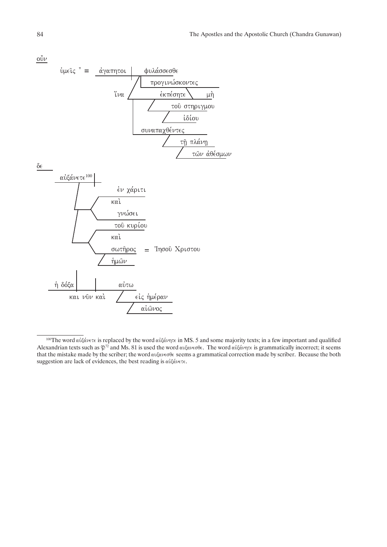$\vec{\text{ov}}$ 



<sup>&</sup>lt;sup>100</sup>The word αὐξάνετε is replaced by the word αὐξάνητε in MS. 5 and some majority texts; in a few important and qualified Alexandrian texts such as  $\mathfrak{P}^{72}$  and Ms. 81 is used the word  $\alpha$ υξανεσθε. The word  $\alpha$ υξάνητε is grammatically incorrect; it seems that the mistake made by the scriber; the word  $\omega \xi \alpha \nu \epsilon \sigma \theta \epsilon$  seems a grammatical correction made by scriber. Because the both suggestion are lack of evidences, the best reading is  $\alpha\dot{\alpha}\dot{\alpha}\nu\epsilon\tau\epsilon$ .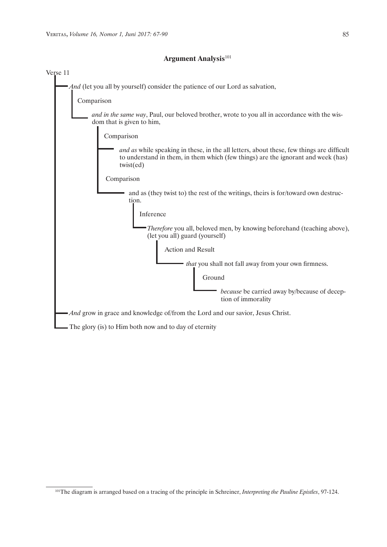

# **Argument Analysis**<sup>101</sup>

<sup>101</sup>The diagram is arranged based on a tracing of the principle in Schreiner, *Interpreting the Pauline Epistles*, 97-124.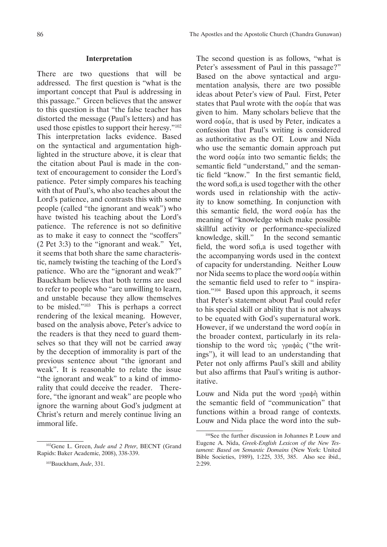#### **Interpretation**

There are two questions that will be addressed. The first question is "what is the important concept that Paul is addressing in this passage." Green believes that the answer to this question is that "the false teacher has distorted the message (Paul's letters) and has used those epistles to support their heresy."102 This interpretation lacks evidence. Based on the syntactical and argumentation highlighted in the structure above, it is clear that the citation about Paul is made in the context of encouragement to consider the Lord's patience. Peter simply compares his teaching with that of Paul's, who also teaches about the Lord's patience, and contrasts this with some people (called "the ignorant and weak") who have twisted his teaching about the Lord's patience. The reference is not so definitive as to make it easy to connect the "scoffers" (2 Pet 3:3) to the "ignorant and weak." Yet, it seems that both share the same characteristic, namely twisting the teaching of the Lord's patience. Who are the "ignorant and weak?" Bauckham believes that both terms are used to refer to people who "are unwilling to learn, and unstable because they allow themselves to be misled."103 This is perhaps a correct rendering of the lexical meaning. However, based on the analysis above, Peter's advice to the readers is that they need to guard themselves so that they will not be carried away by the deception of immorality is part of the previous sentence about "the ignorant and weak". It is reasonable to relate the issue "the ignorant and weak" to a kind of immorality that could deceive the reader. Therefore, "the ignorant and weak" are people who ignore the warning about God's judgment at Christ's return and merely continue living an immoral life.

The second question is as follows, "what is Peter's assessment of Paul in this passage?" Based on the above syntactical and argumentation analysis, there are two possible ideas about Peter's view of Paul. First, Peter states that Paul wrote with the  $\sigma$  $\phi$  a that was given to him. Many scholars believe that the word  $\sigma$ o $\phi$ í $\alpha$ , that is used by Peter, indicates a confession that Paul's writing is considered as authoritative as the OT. Louw and Nida who use the semantic domain approach put the word  $\sigma \phi \varphi$  into two semantic fields; the semantic field "understand," and the semantic field "know." In the first semantic field, the word sofi,a is used together with the other words used in relationship with the activity to know something. In conjunction with this semantic field, the word  $\sigma$ o $\phi$ ί $\alpha$  has the meaning of "knowledge which make possible skillful activity or performance-specialized knowledge, skill." In the second semantic field, the word sofi,a is used together with the accompanying words used in the context of capacity for understanding. Neither Louw nor Nida seems to place the word  $\sigma$  op  $\alpha$  within the semantic field used to refer to " inspiration."104 Based upon this approach, it seems that Peter's statement about Paul could refer to his special skill or ability that is not always to be equated with God's supernatural work. However, if we understand the word  $\sigma$ <sup>i</sup> $\alpha$  in the broader context, particularly in its relationship to the word  $\tau \alpha \zeta$  γραφάς ("the writings"), it will lead to an understanding that Peter not only affirms Paul's skill and ability but also affirms that Paul's writing is authoritative.

Louw and Nida put the word  $\gamma \rho \alpha \phi \eta$  within the semantic field of "communication" that functions within a broad range of contexts. Louw and Nida place the word into the sub-

<sup>102</sup>Gene L. Green, *Jude and 2 Peter*, BECNT (Grand Rapids: Baker Academic, 2008), 338-339.

<sup>103</sup>Bauckham, *Jude*, 331.

<sup>104</sup>See the further discussion in Johannes P. Louw and Eugene A. Nida, *Greek-English Lexicon of the New Testament: Based on Semantic Domains* (New York: United Bible Societies, 1989), 1:225, 335, 385. Also see ibid., 2:299.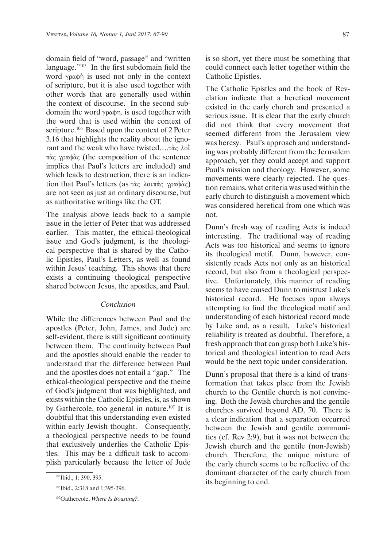domain field of "word, passage" and "written language."105 In the first subdomain field the word  $\gamma \rho \alpha \phi \dot{\eta}$  is used not only in the context of scripture, but it is also used together with other words that are generally used within the context of discourse. In the second subdomain the word  $\gamma \rho \alpha \phi \eta$ . is used together with the word that is used within the context of scripture.<sup>106</sup> Based upon the context of 2 Peter 3.16 that highlights the reality about the ignorant and the weak who have twisted.... $\tau \dot{\alpha} \zeta$   $\lambda$ oi πάς γραφάς (the composition of the sentence implies that Paul's letters are included) and which leads to destruction, there is an indication that Paul's letters (as  $\tau \alpha \in \lambda_0$   $\tau \alpha \in \gamma_0$   $\alpha \phi \alpha \in \lambda_0$ ) are not seen as just an ordinary discourse, but as authoritative writings like the OT.

The analysis above leads back to a sample issue in the letter of Peter that was addressed earlier. This matter, the ethical-theological issue and God's judgment, is the theological perspective that is shared by the Catholic Epistles, Paul's Letters, as well as found within Jesus' teaching. This shows that there exists a continuing theological perspective shared between Jesus, the apostles, and Paul.

## *Conclusion*

While the differences between Paul and the apostles (Peter, John, James, and Jude) are self-evident, there is still significant continuity between them. The continuity between Paul and the apostles should enable the reader to understand that the difference between Paul and the apostles does not entail a "gap." The ethical-theological perspective and the theme of God's judgment that was highlighted, and exists within the Catholic Epistles, is, as shown by Gathercole, too general in nature.107 It is doubtful that this understanding even existed within early Jewish thought. Consequently, a theological perspective needs to be found that exclusively underlies the Catholic Epistles. This may be a difficult task to accomplish particularly because the letter of Jude is so short, yet there must be something that could connect each letter together within the Catholic Epistles.

The Catholic Epistles and the book of Revelation indicate that a heretical movement existed in the early church and presented a serious issue. It is clear that the early church did not think that every movement that seemed different from the Jerusalem view was heresy. Paul's approach and understanding was probably different from the Jerusalem approach, yet they could accept and support Paul's mission and theology. However, some movements were clearly rejected. The question remains, what criteria was used within the early church to distinguish a movement which was considered heretical from one which was not.

Dunn's fresh way of reading Acts is indeed interesting. The traditional way of reading Acts was too historical and seems to ignore its theological motif. Dunn, however, consistently reads Acts not only as an historical record, but also from a theological perspective. Unfortunately, this manner of reading seems to have caused Dunn to mistrust Luke's historical record. He focuses upon always attempting to find the theological motif and understanding of each historical record made by Luke and, as a result, Luke's historical reliability is treated as doubtful. Therefore, a fresh approach that can grasp both Luke's historical and theological intention to read Acts would be the next topic under consideration.

Dunn's proposal that there is a kind of transformation that takes place from the Jewish church to the Gentile church is not convincing. Both the Jewish churches and the gentile churches survived beyond AD. 70. There is a clear indication that a separation occurred between the Jewish and gentile communities (cf. Rev 2:9), but it was not between the Jewish church and the gentile (non-Jewish) church. Therefore, the unique mixture of the early church seems to be reflective of the dominant character of the early church from its beginning to end.

<sup>105</sup>Ibid., 1: 390, 395.

<sup>106</sup>Ibid., 2:318 and 1:395-396.

<sup>107</sup>Gathercole, *Where Is Boasting?*.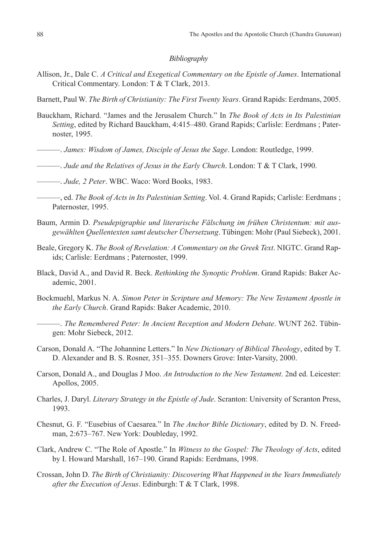## *Bibliography*

- Allison, Jr., Dale C. *A Critical and Exegetical Commentary on the Epistle of James*. International Critical Commentary. London: T & T Clark, 2013.
- Barnett, Paul W. *The Birth of Christianity: The First Twenty Years*. Grand Rapids: Eerdmans, 2005.
- Bauckham, Richard. "James and the Jerusalem Church." In *The Book of Acts in Its Palestinian Setting*, edited by Richard Bauckham, 4:415–480. Grand Rapids; Carlisle: Eerdmans ; Paternoster, 1995.
- ———. *James: Wisdom of James, Disciple of Jesus the Sage*. London: Routledge, 1999.
- ———. *Jude and the Relatives of Jesus in the Early Church*. London: T & T Clark, 1990.
- ———. *Jude, 2 Peter*. WBC. Waco: Word Books, 1983.
- ———, ed. *The Book of Acts in Its Palestinian Setting*. Vol. 4. Grand Rapids; Carlisle: Eerdmans ; Paternoster, 1995.
- Baum, Armin D. *Pseudepigraphie und literarische Fälschung im frühen Christentum: mit ausgewählten Quellentexten samt deutscher Übersetzung*. Tübingen: Mohr (Paul Siebeck), 2001.
- Beale, Gregory K. *The Book of Revelation: A Commentary on the Greek Text*. NIGTC. Grand Rapids; Carlisle: Eerdmans ; Paternoster, 1999.
- Black, David A., and David R. Beck. *Rethinking the Synoptic Problem*. Grand Rapids: Baker Academic, 2001.
- Bockmuehl, Markus N. A. *Simon Peter in Scripture and Memory: The New Testament Apostle in the Early Church*. Grand Rapids: Baker Academic, 2010.
- ———. *The Remembered Peter: In Ancient Reception and Modern Debate*. WUNT 262. Tübingen: Mohr Siebeck, 2012.
- Carson, Donald A. "The Johannine Letters." In *New Dictionary of Biblical Theology*, edited by T. D. Alexander and B. S. Rosner, 351–355. Downers Grove: Inter-Varsity, 2000.
- Carson, Donald A., and Douglas J Moo. *An Introduction to the New Testament*. 2nd ed. Leicester: Apollos, 2005.
- Charles, J. Daryl. *Literary Strategy in the Epistle of Jude*. Scranton: University of Scranton Press, 1993.
- Chesnut, G. F. "Eusebius of Caesarea." In *The Anchor Bible Dictionary*, edited by D. N. Freedman, 2:673–767. New York: Doubleday, 1992.
- Clark, Andrew C. "The Role of Apostle." In *Witness to the Gospel: The Theology of Acts*, edited by I. Howard Marshall, 167–190. Grand Rapids: Eerdmans, 1998.
- Crossan, John D. *The Birth of Christianity: Discovering What Happened in the Years Immediately after the Execution of Jesus*. Edinburgh: T & T Clark, 1998.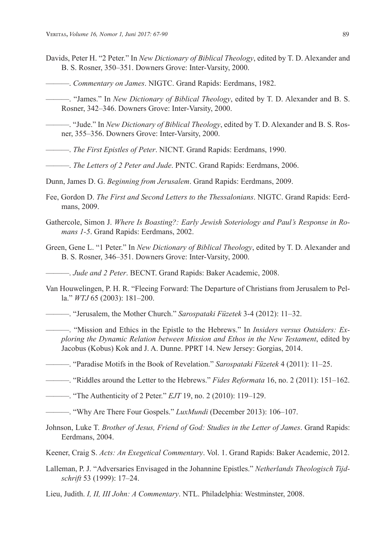- Davids, Peter H. "2 Peter." In *New Dictionary of Biblical Theology*, edited by T. D. Alexander and B. S. Rosner, 350–351. Downers Grove: Inter-Varsity, 2000.
- ———. *Commentary on James*. NIGTC. Grand Rapids: Eerdmans, 1982.
- ———. "James." In *New Dictionary of Biblical Theology*, edited by T. D. Alexander and B. S. Rosner, 342–346. Downers Grove: Inter-Varsity, 2000.
- ———. "Jude." In *New Dictionary of Biblical Theology*, edited by T. D. Alexander and B. S. Rosner, 355–356. Downers Grove: Inter-Varsity, 2000.
- ———. *The First Epistles of Peter*. NICNT. Grand Rapids: Eerdmans, 1990.
- ———. *The Letters of 2 Peter and Jude*. PNTC. Grand Rapids: Eerdmans, 2006.
- Dunn, James D. G. *Beginning from Jerusalem*. Grand Rapids: Eerdmans, 2009.
- Fee, Gordon D. *The First and Second Letters to the Thessalonians*. NIGTC. Grand Rapids: Eerdmans, 2009.
- Gathercole, Simon J. *Where Is Boasting?: Early Jewish Soteriology and Paul's Response in Romans 1-5*. Grand Rapids: Eerdmans, 2002.
- Green, Gene L. "1 Peter." In *New Dictionary of Biblical Theology*, edited by T. D. Alexander and B. S. Rosner, 346–351. Downers Grove: Inter-Varsity, 2000.
- ———. *Jude and 2 Peter*. BECNT. Grand Rapids: Baker Academic, 2008.
- Van Houwelingen, P. H. R. "Fleeing Forward: The Departure of Christians from Jerusalem to Pella." *WTJ* 65 (2003): 181–200.
- ———. "Jerusalem, the Mother Church." *Sarospataki Füzetek* 3-4 (2012): 11–32.
	- ———. "Mission and Ethics in the Epistle to the Hebrews." In *Insiders versus Outsiders: Exploring the Dynamic Relation between Mission and Ethos in the New Testament*, edited by Jacobus (Kobus) Kok and J. A. Dunne. PPRT 14. New Jersey: Gorgias, 2014.
- ———. "Paradise Motifs in the Book of Revelation." *Sarospataki Füzetek* 4 (2011): 11–25.
- ———. "Riddles around the Letter to the Hebrews." *Fides Reformata* 16, no. 2 (2011): 151–162.
- ———. "The Authenticity of 2 Peter." *EJT* 19, no. 2 (2010): 119–129.
- ———. "Why Are There Four Gospels." *LuxMundi* (December 2013): 106–107.
- Johnson, Luke T. *Brother of Jesus, Friend of God: Studies in the Letter of James*. Grand Rapids: Eerdmans, 2004.
- Keener, Craig S. *Acts: An Exegetical Commentary*. Vol. 1. Grand Rapids: Baker Academic, 2012.
- Lalleman, P. J. "Adversaries Envisaged in the Johannine Epistles." *Netherlands Theologisch Tijdschrift* 53 (1999): 17–24.
- Lieu, Judith. *I, II, III John: A Commentary*. NTL. Philadelphia: Westminster, 2008.